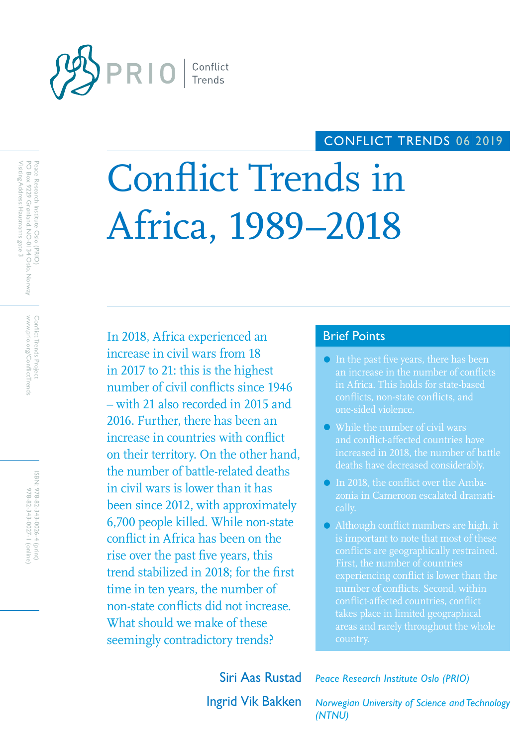

## CONFLICT TRENDS 06/2019

# Conflict Trends in Africa, 1989–2018

In 2018, Africa experienced an Brief Points increase in civil wars from 18 in 2017 to 21: this is the highest number of civil conflicts since 1946 – with 21 also recorded in 2015 and 2016. Further, there has been an increase in countries with conflict on their territory. On the other hand, the number of battle-related deaths in civil wars is lower than it has been since 2012, with approximately 6,700 people killed. While non-state conflict in Africa has been on the rise over the past five years, this trend stabilized in 2018; for the first time in ten years, the number of non-state conflicts did not increase. What should we make of these seemingly contradictory trends?

- In the past five years, there has been an increase in the number of conflicts in Africa. This holds for state-based conflicts, non-state conflicts, and one-sided violence.
- While the number of civil wars and conflict-affected countries have increased in 2018, the number of battle deaths have decreased considerably.
- In 2018, the conflict over the Ambazonia in Cameroon escalated dramatically.
- Although conflict numbers are high, it is important to note that most of these conflicts are geographically restrained. First, the number of countries number of conflicts. Second, within conflict-affected countries, conflict takes place in limited geographical areas and rarely throughout the whole country.

Siri Aas Rustad *Peace Research Institute Oslo (PRIO)*

Ingrid Vik Bakken *Norwegian University of Science and Technology (NTNU)*

www.prio.org/ConflictTrends Conflict Trends Project www.prio.org/ConflictTrends Conflict Trends Project

ISBN: 978-82-343-0026-4 (print) 978-82-343-0027-1 (online) 978-82-343-0027-1 (online) 978-82-343-0026-4 (print)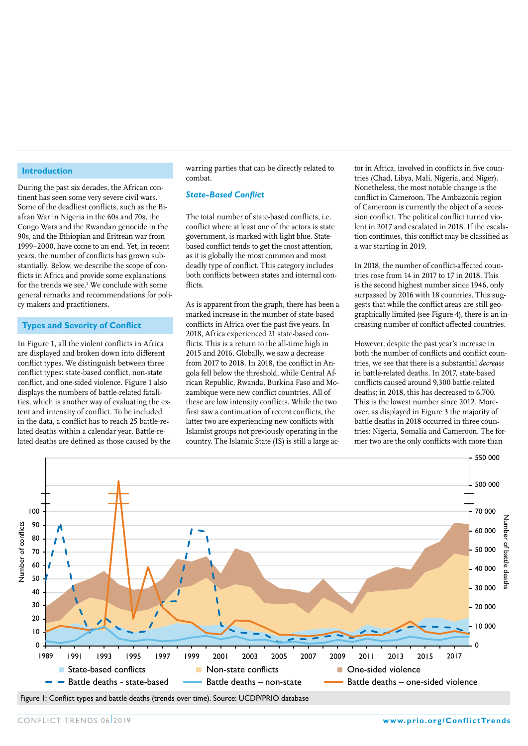#### **Introduction**

During the past six decades, the African continent has seen some very severe civil wars. Some of the deadliest conflicts, such as the Biafran War in Nigeria in the 60s and 70s, the Congo Wars and the Rwandan genocide in the 90s, and the Ethiopian and Eritrean war from 1999–2000, have come to an end. Yet, in recent years, the number of conflicts has grown substantially. Below, we describe the scope of conflicts in Africa and provide some explanations for the trends we see.<sup>1</sup> We conclude with some general remarks and recommendations for policy makers and practitioners.

#### **Types and Severity of Conflict**

In Figure 1, all the violent conflicts in Africa are displayed and broken down into different conflict types. We distinguish between three conflict types: state-based conflict, non-state conflict, and one-sided violence. Figure 1 also displays the numbers of battle-related fatalities, which is another way of evaluating the extent and intensity of conflict. To be included in the data, a conflict has to reach 25 battle-related deaths within a calendar year. Battle-related deaths are defined as those caused by the

warring parties that can be directly related to combat.

#### *State-Based Conflict*

The total number of state-based conflicts, i.e. conflict where at least one of the actors is state government, is marked with light blue. Statebased conflict tends to get the most attention, as it is globally the most common and most deadly type of conflict. This category includes both conflicts between states and internal conflicts

As is apparent from the graph, there has been a marked increase in the number of state-based conflicts in Africa over the past five years. In 2018, Africa experienced 21 state-based conflicts. This is a return to the all-time high in 2015 and 2016. Globally, we saw a decrease from 2017 to 2018. In 2018, the conflict in Angola fell below the threshold, while Central African Republic, Rwanda, Burkina Faso and Mozambique were new conflict countries. All of these are low intensity conflicts. While the two first saw a continuation of recent conflicts, the latter two are experiencing new conflicts with Islamist groups not previously operating in the country. The Islamic State (IS) is still a large actor in Africa, involved in conflicts in five countries (Chad, Libya, Mali, Nigeria, and Niger). Nonetheless, the most notable change is the conflict in Cameroon. The Ambazonia region of Cameroon is currently the object of a secession conflict. The political conflict turned violent in 2017 and escalated in 2018. If the escalation continues, this conflict may be classified as a war starting in 2019.

In 2018, the number of conflict-affected countries rose from 14 in 2017 to 17 in 2018. This is the second highest number since 1946, only surpassed by 2016 with 18 countries. This suggests that while the conflict areas are still geographically limited (see Figure 4), there is an increasing number of conflict-affected countries.

However, despite the past year's increase in both the number of conflicts and conflict countries, we see that there is a substantial *decrease* in battle-related deaths. In 2017, state-based conflicts caused around 9,300 battle-related deaths; in 2018, this has decreased to 6,700. This is the lowest number since 2012. Moreover, as displayed in Figure 3 the majority of battle deaths in 2018 occurred in three countries: Nigeria, Somalia and Cameroon. The former two are the only conflicts with more than



Figure 1: Conflict types and battle deaths (trends over time). Source: UCDP/PRIO database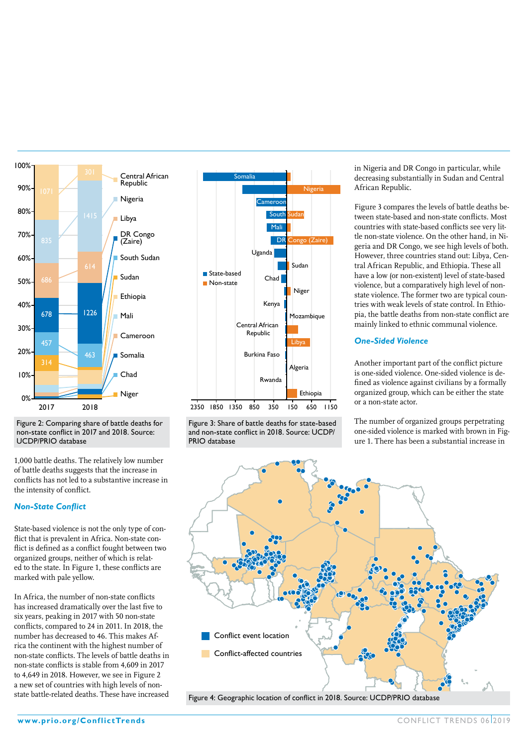

Figure 2: Comparing share of battle deaths for non-state conflict in 2017 and 2018. Source: UCDP/PRIO database

1,000 battle deaths. The relatively low number of battle deaths suggests that the increase in conflicts has not led to a substantive increase in the intensity of conflict.

### *Non-State Conflict*

State-based violence is not the only type of conflict that is prevalent in Africa. Non-state conflict is defined as a conflict fought between two organized groups, neither of which is related to the state. In Figure 1, these conflicts are marked with pale yellow.

In Africa, the number of non-state conflicts has increased dramatically over the last five to six years, peaking in 2017 with 50 non-state conflicts, compared to 24 in 2011. In 2018, the number has decreased to 46. This makes Africa the continent with the highest number of non-state conflicts. The levels of battle deaths in non-state conflicts is stable from 4,609 in 2017 to 4,649 in 2018. However, we see in Figure 2 a new set of countries with high levels of nonstate battle-related deaths. These have increased



Figure 3: Share of battle deaths for state-based and non-state conflict in 2018. Source: UCDP/ PRIO database

in Nigeria and DR Congo in particular, while decreasing substantially in Sudan and Central African Republic.

Figure 3 compares the levels of battle deaths between state-based and non-state conflicts. Most countries with state-based conflicts see very little non-state violence. On the other hand, in Nigeria and DR Congo, we see high levels of both. However, three countries stand out: Libya, Central African Republic, and Ethiopia. These all have a low (or non-existent) level of state-based violence, but a comparatively high level of nonstate violence. The former two are typical countries with weak levels of state control. In Ethiopia, the battle deaths from non-state conflict are mainly linked to ethnic communal violence.

## *One-Sided Violence*

Another important part of the conflict picture is one-sided violence. One-sided violence is defined as violence against civilians by a formally organized group, which can be either the state or a non-state actor.

The number of organized groups perpetrating one-sided violence is marked with brown in Figure 1. There has been a substantial increase in



Figure 4: Geographic location of conflict in 2018. Source: UCDP/PRIO database